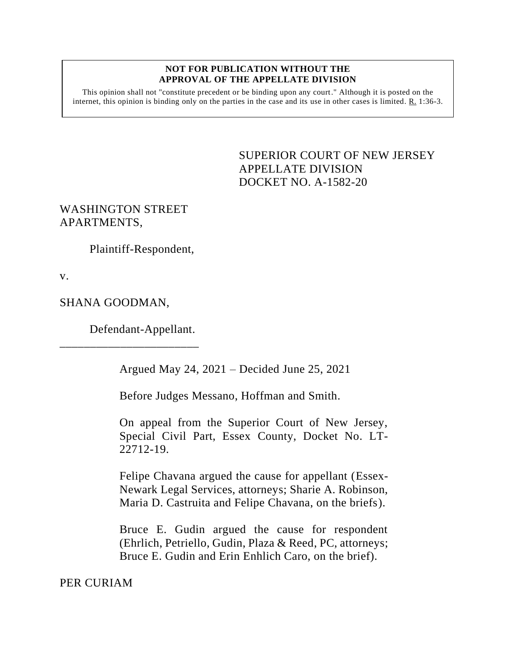## **NOT FOR PUBLICATION WITHOUT THE APPROVAL OF THE APPELLATE DIVISION**

This opinion shall not "constitute precedent or be binding upon any court." Although it is posted on the internet, this opinion is binding only on the parties in the case and its use in other cases is limited.  $R_1$  1:36-3.

> <span id="page-0-0"></span>SUPERIOR COURT OF NEW JERSEY APPELLATE DIVISION DOCKET NO. A-1582-20

## WASHINGTON STREET APARTMENTS,

Plaintiff-Respondent,

v.

## SHANA GOODMAN,

Defendant-Appellant.

\_\_\_\_\_\_\_\_\_\_\_\_\_\_\_\_\_\_\_\_\_\_\_

Argued May 24, 2021 – Decided June 25, 2021

Before Judges Messano, Hoffman and Smith.

On appeal from the Superior Court of New Jersey, Special Civil Part, Essex County, Docket No. LT-22712-19.

Felipe Chavana argued the cause for appellant (Essex-Newark Legal Services, attorneys; Sharie A. Robinson, Maria D. Castruita and Felipe Chavana, on the briefs).

Bruce E. Gudin argued the cause for respondent (Ehrlich, Petriello, Gudin, Plaza & Reed, PC, attorneys; Bruce E. Gudin and Erin Enhlich Caro, on the brief).

PER CURIAM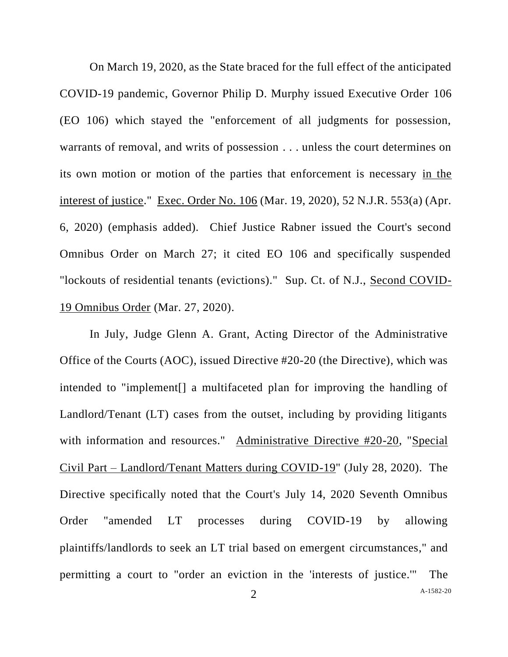On March 19, 2020, as the State braced for the full effect of the anticipated COVID-19 pandemic, Governor Philip D. Murphy issued Executive Order 106 (EO 106) which stayed the "enforcement of all judgments for possession, warrants of removal, and writs of possession . . . unless the court determines on its own motion or motion of the parties that enforcement is necessary in the interest of justice." Exec. Order No. 106 (Mar. 19, 2020), 52 N.J.R. 553(a) (Apr. 6, 2020) (emphasis added). Chief Justice Rabner issued the Court's second Omnibus Order on March 27; it cited EO 106 and specifically suspended "lockouts of residential tenants (evictions)." Sup. Ct. of N.J., Second COVID-19 Omnibus Order (Mar. 27, 2020).

In July, Judge Glenn A. Grant, Acting Director of the Administrative Office of the Courts (AOC), issued Directive #20-20 (the Directive), which was intended to "implement[] a multifaceted plan for improving the handling of Landlord/Tenant (LT) cases from the outset, including by providing litigants with information and resources." Administrative Directive #20-20, "Special Civil Part – Landlord/Tenant Matters during COVID-19" (July 28, 2020). The Directive specifically noted that the Court's July 14, 2020 Seventh Omnibus Order "amended LT processes during COVID-19 by allowing plaintiffs/landlords to seek an LT trial based on emergent circumstances," and permitting a court to "order an eviction in the 'interests of justice.'" The

A[-1582-20](#page-0-0)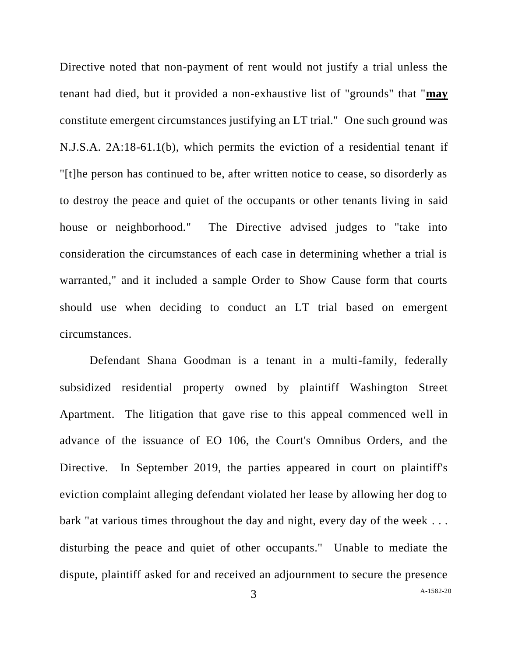Directive noted that non-payment of rent would not justify a trial unless the tenant had died, but it provided a non-exhaustive list of "grounds" that "**may** constitute emergent circumstances justifying an LT trial." One such ground was N.J.S.A. 2A:18-61.1(b), which permits the eviction of a residential tenant if "[t]he person has continued to be, after written notice to cease, so disorderly as to destroy the peace and quiet of the occupants or other tenants living in said house or neighborhood." The Directive advised judges to "take into consideration the circumstances of each case in determining whether a trial is warranted," and it included a sample Order to Show Cause form that courts should use when deciding to conduct an LT trial based on emergent circumstances.

Defendant Shana Goodman is a tenant in a multi-family, federally subsidized residential property owned by plaintiff Washington Street Apartment. The litigation that gave rise to this appeal commenced well in advance of the issuance of EO 106, the Court's Omnibus Orders, and the Directive. In September 2019, the parties appeared in court on plaintiff's eviction complaint alleging defendant violated her lease by allowing her dog to bark "at various times throughout the day and night, every day of the week ... disturbing the peace and quiet of other occupants." Unable to mediate the dispute, plaintiff asked for and received an adjournment to secure the presence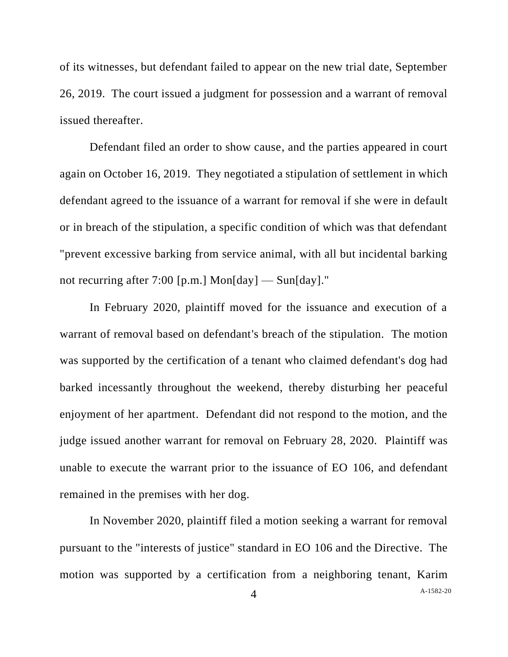of its witnesses, but defendant failed to appear on the new trial date, September 26, 2019. The court issued a judgment for possession and a warrant of removal issued thereafter.

Defendant filed an order to show cause, and the parties appeared in court again on October 16, 2019. They negotiated a stipulation of settlement in which defendant agreed to the issuance of a warrant for removal if she were in default or in breach of the stipulation, a specific condition of which was that defendant "prevent excessive barking from service animal, with all but incidental barking not recurring after 7:00 [p.m.] Mon[day] — Sun[day]."

In February 2020, plaintiff moved for the issuance and execution of a warrant of removal based on defendant's breach of the stipulation. The motion was supported by the certification of a tenant who claimed defendant's dog had barked incessantly throughout the weekend, thereby disturbing her peaceful enjoyment of her apartment. Defendant did not respond to the motion, and the judge issued another warrant for removal on February 28, 2020. Plaintiff was unable to execute the warrant prior to the issuance of EO 106, and defendant remained in the premises with her dog.

In November 2020, plaintiff filed a motion seeking a warrant for removal pursuant to the "interests of justice" standard in EO 106 and the Directive. The motion was supported by a certification from a neighboring tenant, Karim

A[-1582-20](#page-0-0)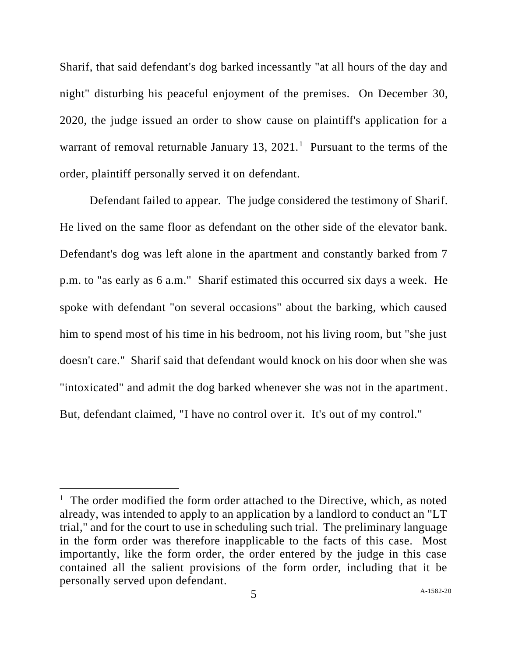Sharif, that said defendant's dog barked incessantly "at all hours of the day and night" disturbing his peaceful enjoyment of the premises. On December 30, 2020, the judge issued an order to show cause on plaintiff's application for a warrant of removal returnable January 13,  $2021$ .<sup>1</sup> Pursuant to the terms of the order, plaintiff personally served it on defendant.

Defendant failed to appear. The judge considered the testimony of Sharif. He lived on the same floor as defendant on the other side of the elevator bank. Defendant's dog was left alone in the apartment and constantly barked from 7 p.m. to "as early as 6 a.m." Sharif estimated this occurred six days a week. He spoke with defendant "on several occasions" about the barking, which caused him to spend most of his time in his bedroom, not his living room, but "she just doesn't care." Sharif said that defendant would knock on his door when she was "intoxicated" and admit the dog barked whenever she was not in the apartment. But, defendant claimed, "I have no control over it. It's out of my control."

<sup>&</sup>lt;sup>1</sup> The order modified the form order attached to the Directive, which, as noted already, was intended to apply to an application by a landlord to conduct an "LT trial," and for the court to use in scheduling such trial. The preliminary language in the form order was therefore inapplicable to the facts of this case. Most importantly, like the form order, the order entered by the judge in this case contained all the salient provisions of the form order, including that it be personally served upon defendant.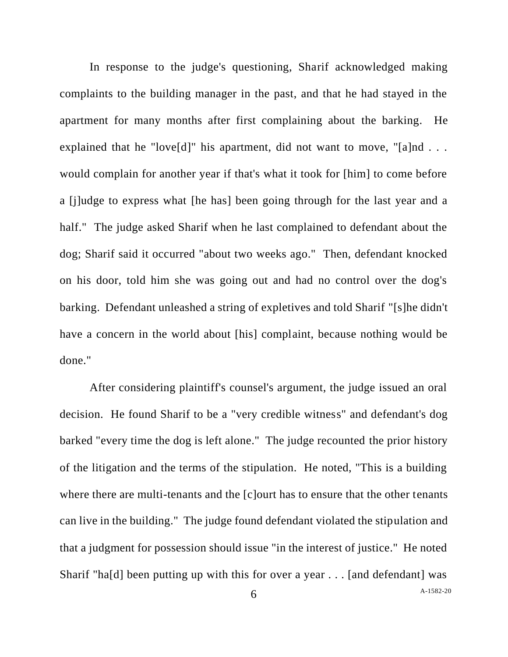In response to the judge's questioning, Sharif acknowledged making complaints to the building manager in the past, and that he had stayed in the apartment for many months after first complaining about the barking. He explained that he "love[d]" his apartment, did not want to move, "[a]nd . . . would complain for another year if that's what it took for [him] to come before a [j]udge to express what [he has] been going through for the last year and a half." The judge asked Sharif when he last complained to defendant about the dog; Sharif said it occurred "about two weeks ago." Then, defendant knocked on his door, told him she was going out and had no control over the dog's barking. Defendant unleashed a string of expletives and told Sharif "[s]he didn't have a concern in the world about [his] complaint, because nothing would be done."

A[-1582-20](#page-0-0) After considering plaintiff's counsel's argument, the judge issued an oral decision. He found Sharif to be a "very credible witness" and defendant's dog barked "every time the dog is left alone." The judge recounted the prior history of the litigation and the terms of the stipulation. He noted, "This is a building where there are multi-tenants and the [c]ourt has to ensure that the other tenants can live in the building." The judge found defendant violated the stipulation and that a judgment for possession should issue "in the interest of justice." He noted Sharif "ha[d] been putting up with this for over a year . . . [and defendant] was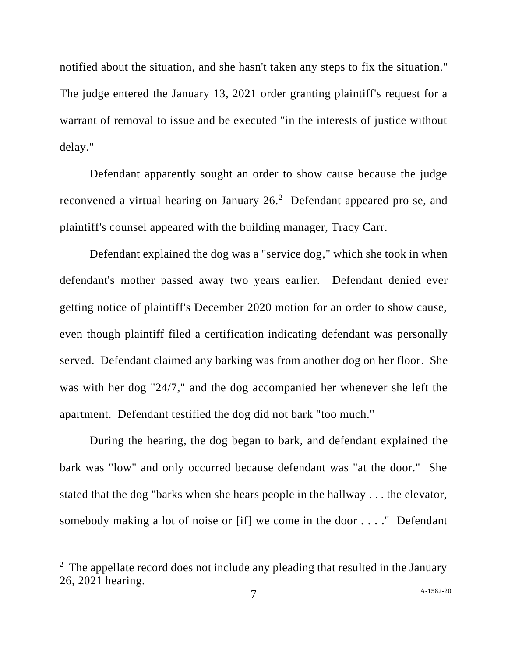notified about the situation, and she hasn't taken any steps to fix the situation." The judge entered the January 13, 2021 order granting plaintiff's request for a warrant of removal to issue and be executed "in the interests of justice without delay."

Defendant apparently sought an order to show cause because the judge reconvened a virtual hearing on January  $26<sup>2</sup>$  Defendant appeared pro se, and plaintiff's counsel appeared with the building manager, Tracy Carr.

Defendant explained the dog was a "service dog," which she took in when defendant's mother passed away two years earlier. Defendant denied ever getting notice of plaintiff's December 2020 motion for an order to show cause, even though plaintiff filed a certification indicating defendant was personally served. Defendant claimed any barking was from another dog on her floor. She was with her dog "24/7," and the dog accompanied her whenever she left the apartment. Defendant testified the dog did not bark "too much."

During the hearing, the dog began to bark, and defendant explained the bark was "low" and only occurred because defendant was "at the door." She stated that the dog "barks when she hears people in the hallway . . . the elevator, somebody making a lot of noise or [if] we come in the door . . . ." Defendant

 $2$  The appellate record does not include any pleading that resulted in the January 26, 2021 hearing.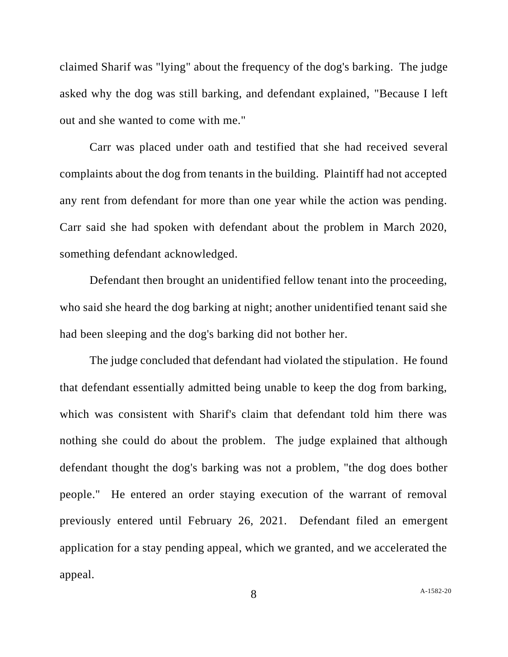claimed Sharif was "lying" about the frequency of the dog's barking. The judge asked why the dog was still barking, and defendant explained, "Because I left out and she wanted to come with me."

Carr was placed under oath and testified that she had received several complaints about the dog from tenants in the building. Plaintiff had not accepted any rent from defendant for more than one year while the action was pending. Carr said she had spoken with defendant about the problem in March 2020, something defendant acknowledged.

Defendant then brought an unidentified fellow tenant into the proceeding, who said she heard the dog barking at night; another unidentified tenant said she had been sleeping and the dog's barking did not bother her.

The judge concluded that defendant had violated the stipulation. He found that defendant essentially admitted being unable to keep the dog from barking, which was consistent with Sharif's claim that defendant told him there was nothing she could do about the problem. The judge explained that although defendant thought the dog's barking was not a problem, "the dog does bother people." He entered an order staying execution of the warrant of removal previously entered until February 26, 2021. Defendant filed an emergent application for a stay pending appeal, which we granted, and we accelerated the appeal.

8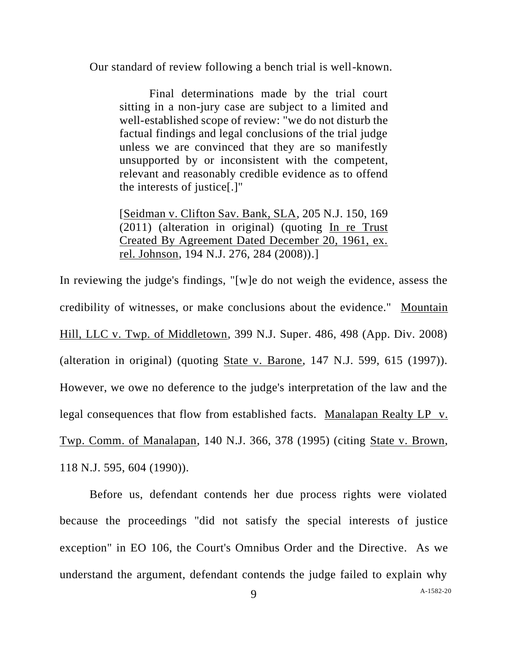Our standard of review following a bench trial is well-known.

Final determinations made by the trial court sitting in a non-jury case are subject to a limited and well-established scope of review: "we do not disturb the factual findings and legal conclusions of the trial judge unless we are convinced that they are so manifestly unsupported by or inconsistent with the competent, relevant and reasonably credible evidence as to offend the interests of justice[.]"

[Seidman v. Clifton Sav. Bank, SLA, 205 N.J. 150, 169 (2011) (alteration in original) (quoting In re Trust Created By Agreement Dated December 20, 1961, ex. rel. Johnson, 194 N.J. 276, 284 (2008)).]

In reviewing the judge's findings, "[w]e do not weigh the evidence, assess the credibility of witnesses, or make conclusions about the evidence." Mountain Hill, LLC v. Twp. of Middletown, 399 N.J. Super. 486, 498 (App. Div. 2008) (alteration in original) (quoting State v. Barone, 147 N.J. 599, 615 (1997)). However, we owe no deference to the judge's interpretation of the law and the legal consequences that flow from established facts. Manalapan Realty LP v. Twp. Comm. of Manalapan, 140 N.J. 366, 378 (1995) (citing State v. Brown, 118 N.J. 595, 604 (1990)).

Before us, defendant contends her due process rights were violated because the proceedings "did not satisfy the special interests of justice exception" in EO 106, the Court's Omnibus Order and the Directive. As we understand the argument, defendant contends the judge failed to explain why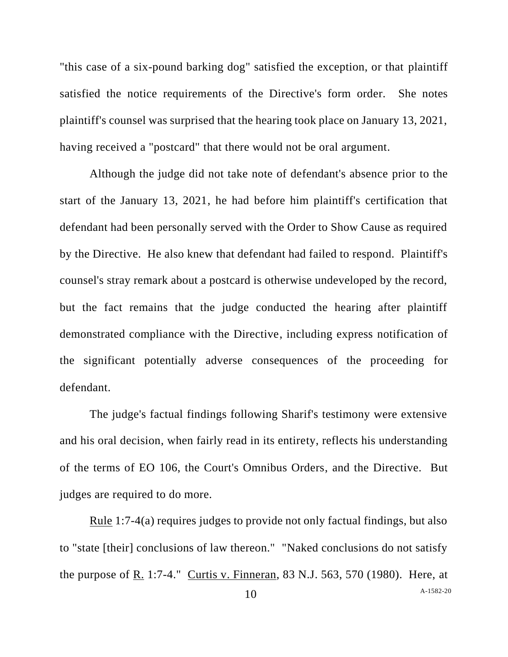"this case of a six-pound barking dog" satisfied the exception, or that plaintiff satisfied the notice requirements of the Directive's form order. She notes plaintiff's counsel was surprised that the hearing took place on January 13, 2021, having received a "postcard" that there would not be oral argument.

Although the judge did not take note of defendant's absence prior to the start of the January 13, 2021, he had before him plaintiff's certification that defendant had been personally served with the Order to Show Cause as required by the Directive. He also knew that defendant had failed to respond. Plaintiff's counsel's stray remark about a postcard is otherwise undeveloped by the record, but the fact remains that the judge conducted the hearing after plaintiff demonstrated compliance with the Directive, including express notification of the significant potentially adverse consequences of the proceeding for defendant.

The judge's factual findings following Sharif's testimony were extensive and his oral decision, when fairly read in its entirety, reflects his understanding of the terms of EO 106, the Court's Omnibus Orders, and the Directive. But judges are required to do more.

Rule 1:7-4(a) requires judges to provide not only factual findings, but also to "state [their] conclusions of law thereon." "Naked conclusions do not satisfy the purpose of R. 1:7-4." Curtis v. Finneran, 83 N.J. 563, 570 (1980). Here, at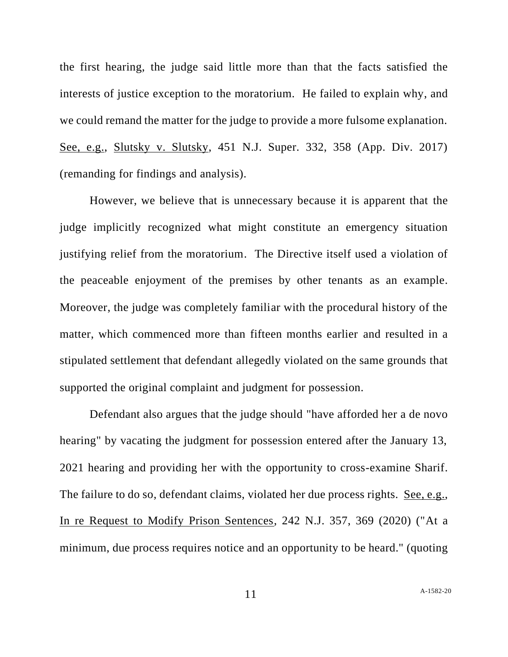the first hearing, the judge said little more than that the facts satisfied the interests of justice exception to the moratorium. He failed to explain why, and we could remand the matter for the judge to provide a more fulsome explanation. See, e.g., Slutsky v. Slutsky, 451 N.J. Super. 332, 358 (App. Div. 2017) (remanding for findings and analysis).

However, we believe that is unnecessary because it is apparent that the judge implicitly recognized what might constitute an emergency situation justifying relief from the moratorium. The Directive itself used a violation of the peaceable enjoyment of the premises by other tenants as an example. Moreover, the judge was completely familiar with the procedural history of the matter, which commenced more than fifteen months earlier and resulted in a stipulated settlement that defendant allegedly violated on the same grounds that supported the original complaint and judgment for possession.

Defendant also argues that the judge should "have afforded her a de novo hearing" by vacating the judgment for possession entered after the January 13, 2021 hearing and providing her with the opportunity to cross-examine Sharif. The failure to do so, defendant claims, violated her due process rights. See, e.g., In re Request to Modify Prison Sentences, 242 N.J. 357, 369 (2020) ("At a minimum, due process requires notice and an opportunity to be heard." (quoting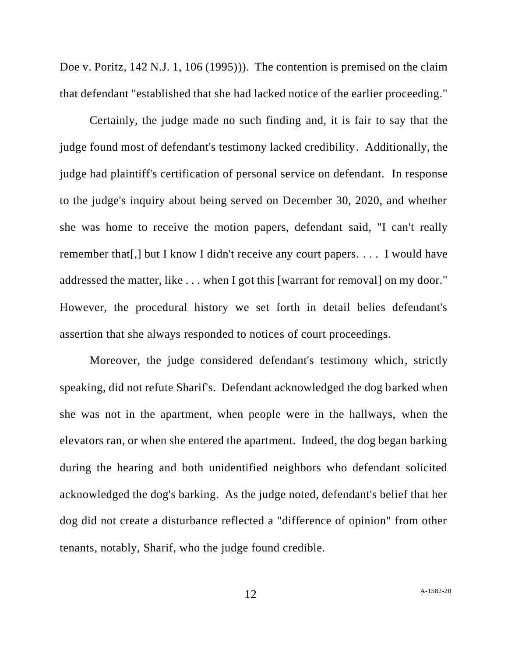Doe v. Poritz, 142 N.J. 1, 106 (1995)). The contention is premised on the claim that defendant "established that she had lacked notice of the earlier proceeding."

Certainly, the judge made no such finding and, it is fair to say that the judge found most of defendant's testimony lacked credibility. Additionally, the judge had plaintiff's certification of personal service on defendant. In response to the judge's inquiry about being served on December 30, 2020, and whether she was home to receive the motion papers, defendant said, "I can't really remember that[,] but I know I didn't receive any court papers. . . . I would have addressed the matter, like . . . when I got this [warrant for removal] on my door." However, the procedural history we set forth in detail belies defendant's assertion that she always responded to notices of court proceedings.

Moreover, the judge considered defendant's testimony which, strictly speaking, did not refute Sharif's. Defendant acknowledged the dog barked when she was not in the apartment, when people were in the hallways, when the elevators ran, or when she entered the apartment. Indeed, the dog began barking during the hearing and both unidentified neighbors who defendant solicited acknowledged the dog's barking. As the judge noted, defendant's belief that her dog did not create a disturbance reflected a "difference of opinion" from other tenants, notably, Sharif, who the judge found credible.